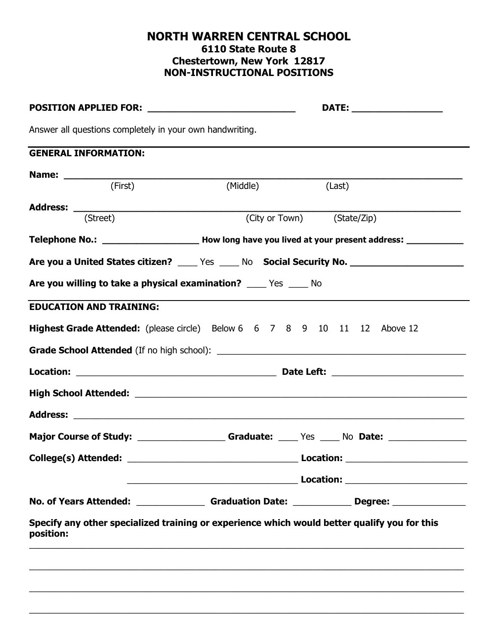## **NORTH WARREN CENTRAL SCHOOL 6110 State Route 8 Chestertown, New York 12817 NON-INSTRUCTIONAL POSITIONS**

| Answer all questions completely in your own handwriting.                                             |          |                                                |
|------------------------------------------------------------------------------------------------------|----------|------------------------------------------------|
| <b>GENERAL INFORMATION:</b>                                                                          |          |                                                |
|                                                                                                      |          |                                                |
| (First)                                                                                              | (Middle) | (Last)                                         |
| $\overline{S}$ (Street)                                                                              |          | $\overline{(\text{City or Town})}$ (State/Zip) |
|                                                                                                      |          |                                                |
| Are you a United States citizen? _____ Yes _____ No Social Security No. ___________________________  |          |                                                |
| Are you willing to take a physical examination? ______ Yes ______ No                                 |          |                                                |
| <b>EDUCATION AND TRAINING:</b>                                                                       |          |                                                |
| Highest Grade Attended: (please circle) Below 6 6 7 8 9 10 11 12 Above 12                            |          |                                                |
|                                                                                                      |          |                                                |
|                                                                                                      |          |                                                |
|                                                                                                      |          |                                                |
|                                                                                                      |          |                                                |
|                                                                                                      |          |                                                |
| Major Course of Study: ____________________Graduate: _____ Yes _____ No Date: _____________________  |          |                                                |
|                                                                                                      |          |                                                |
|                                                                                                      |          |                                                |
|                                                                                                      |          |                                                |
| No. of Years Attended: ___________________Graduation Date: ______________Degree: ___________________ |          |                                                |

 $\_$  , and the set of the set of the set of the set of the set of the set of the set of the set of the set of the set of the set of the set of the set of the set of the set of the set of the set of the set of the set of th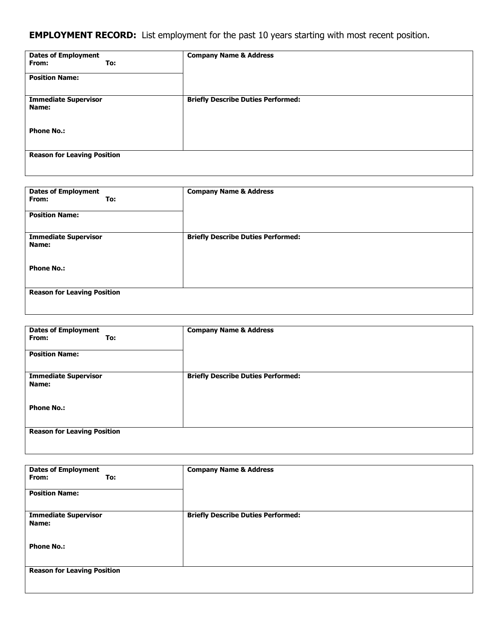## **EMPLOYMENT RECORD:** List employment for the past 10 years starting with most recent position.

| <b>Dates of Employment</b><br>From:<br>To:<br><b>Position Name:</b> | <b>Company Name &amp; Address</b>         |
|---------------------------------------------------------------------|-------------------------------------------|
| <b>Immediate Supervisor</b><br>Name:                                | <b>Briefly Describe Duties Performed:</b> |
| <b>Phone No.:</b>                                                   |                                           |
| <b>Reason for Leaving Position</b>                                  |                                           |

| <b>Dates of Employment</b><br>From:<br>To: | <b>Company Name &amp; Address</b>         |  |
|--------------------------------------------|-------------------------------------------|--|
| <b>Position Name:</b>                      |                                           |  |
| <b>Immediate Supervisor</b><br>Name:       | <b>Briefly Describe Duties Performed:</b> |  |
| <b>Phone No.:</b>                          |                                           |  |
| <b>Reason for Leaving Position</b>         |                                           |  |

| <b>Dates of Employment</b><br>From:<br>To:<br><b>Position Name:</b> | <b>Company Name &amp; Address</b>         |
|---------------------------------------------------------------------|-------------------------------------------|
| <b>Immediate Supervisor</b><br>Name:                                | <b>Briefly Describe Duties Performed:</b> |
| <b>Phone No.:</b>                                                   |                                           |
| <b>Reason for Leaving Position</b>                                  |                                           |

| <b>Dates of Employment</b><br>From:<br>To: | <b>Company Name &amp; Address</b>         |
|--------------------------------------------|-------------------------------------------|
| <b>Position Name:</b>                      |                                           |
| <b>Immediate Supervisor</b><br>Name:       | <b>Briefly Describe Duties Performed:</b> |
| <b>Phone No.:</b>                          |                                           |
| <b>Reason for Leaving Position</b>         |                                           |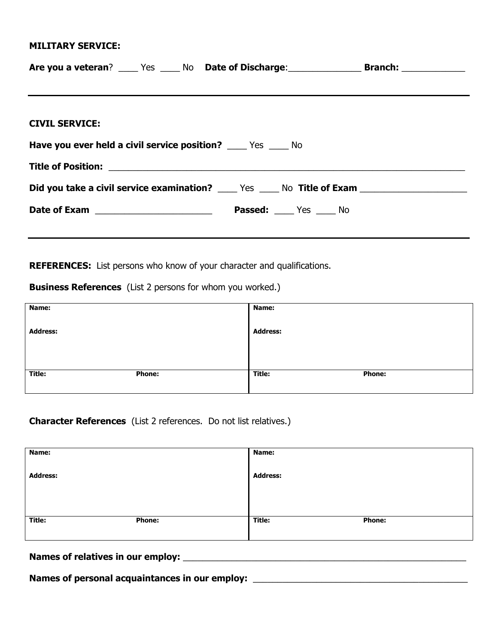## **MILITARY SERVICE:**

| <b>CIVIL SERVICE:</b>                                                                                     |  |  |  |  |
|-----------------------------------------------------------------------------------------------------------|--|--|--|--|
| Have you ever held a civil service position? _____ Yes _____ No                                           |  |  |  |  |
|                                                                                                           |  |  |  |  |
| <b>Did you take a civil service examination?</b> ______ Yes ______ No Title of Exam _____________________ |  |  |  |  |
|                                                                                                           |  |  |  |  |
|                                                                                                           |  |  |  |  |

**REFERENCES:** List persons who know of your character and qualifications.

**Business References** (List 2 persons for whom you worked.)

| Name:           |               | <b>Name:</b>    |               |
|-----------------|---------------|-----------------|---------------|
| <b>Address:</b> |               | <b>Address:</b> |               |
|                 |               |                 |               |
|                 |               |                 |               |
| Title:          | <b>Phone:</b> | Title:          | <b>Phone:</b> |
|                 |               |                 |               |

**Character References** (List 2 references. Do not list relatives.)

| Name:           |               | Name:           |               |
|-----------------|---------------|-----------------|---------------|
| <b>Address:</b> |               | <b>Address:</b> |               |
|                 |               |                 |               |
|                 |               |                 |               |
|                 |               |                 |               |
| Title:          | <b>Phone:</b> | Title:          | <b>Phone:</b> |
|                 |               |                 |               |

**Names of relatives in our employ:** \_\_\_\_\_\_\_\_\_\_\_\_\_\_\_\_\_\_\_\_\_\_\_\_\_\_\_\_\_\_\_\_\_\_\_\_\_\_\_\_\_\_\_\_\_\_\_\_\_\_\_\_\_\_\_\_\_\_

Names of personal acquaintances in our employ: \_\_\_\_\_\_\_\_\_\_\_\_\_\_\_\_\_\_\_\_\_\_\_\_\_\_\_\_\_\_\_\_\_\_